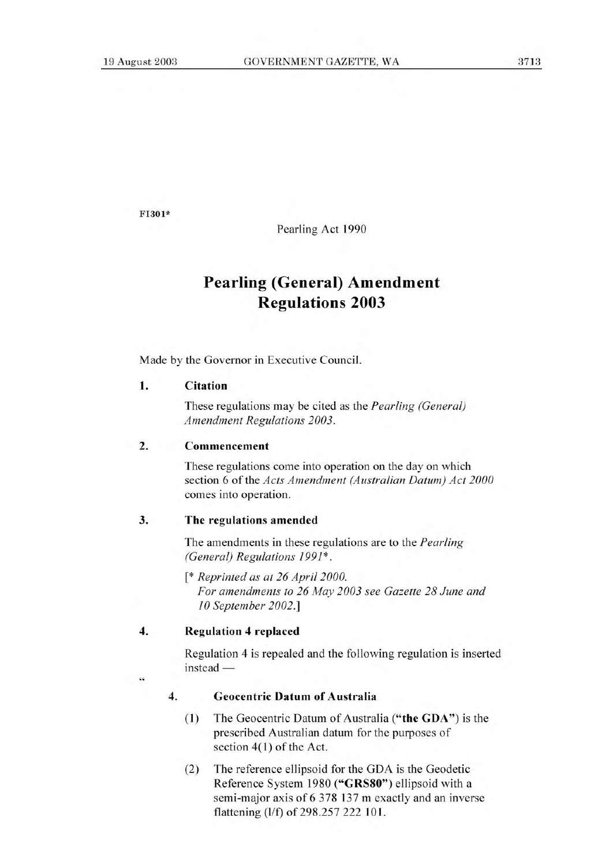FI301\*

Pearling Act 1990

# **Pearling (General) Amendment Regulations 2003**

Made by the Governor in Executive Council.

# **1. Citation**

These regulations may be cited as the *Pearling (General) Amendment Regulations 2003.* 

#### **2. Commencement**

These regulations come into operation on the day on which section 6 of the *Acts Amendment (Australian Datum) Act 2000*  comes into operation.

## **3. The regulations amended**

The amendments in these regulations are to the *Pearling (General) Regulations 1991\*.* 

*[\* Reprinted as at 26 April 2000. For amendments to 26 May 2003 see Gazette 28 June and 10 September 2002.]* 

**4.** Regulation 4 replaced

Regulation 4 is repealed and the following regulation is inserted instead —

*44* 

## **4. Geocentric Datum of Australia**

- (1) The Geocentric Datum of Australia **("the GDA")** is the prescribed Australian datum for the purposes of section 4(1) of the Act.
- (2) The reference ellipsoid for the GDA is the Geodetic Reference System 1980 **("GRS80")** ellipsoid with a semi-major axis of 6 378 137 m exactly and an inverse flattening (1/f) of 298.257 222 101.